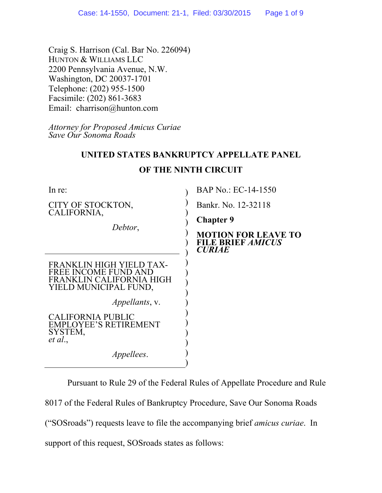Craig S. Harrison (Cal. Bar No. 226094) HUNTON & WILLIAMS LLC 2200 Pennsylvania Avenue, N.W. Washington, DC 20037-1701 Telephone: (202) 955-1500 Facsimile: (202) 861-3683 Email: charrison@hunton.com

*Attorney for Proposed Amicus Curiae Save Our Sonoma Roads*

## **UNITED STATES BANKRUPTCY APPELLATE PANEL**

| In re:                                                                                                | BAP No.: EC-14-1550                                                     |
|-------------------------------------------------------------------------------------------------------|-------------------------------------------------------------------------|
| CITY OF STOCKTON,<br>CALIFORNIA,                                                                      | Bankr. No. 12-32118                                                     |
| Debtor,                                                                                               | <b>Chapter 9</b>                                                        |
|                                                                                                       | <b>MOTION FOR LEAVE TO</b><br><b>FILE BRIEF AMICUS</b><br><b>CURIAE</b> |
| FRANKLIN HIGH YIELD TAX-<br>FREE INCOME FUND AND<br>FRANKLIN CALIFORNIA HIGH<br>YIELD MUNICIPAL FUND, |                                                                         |
| <i>Appellants, v.</i>                                                                                 |                                                                         |
| CALIFORNIA PUBLIC<br><b>EMPLOYEE'S RETIREMENT</b><br>SYSTEM,<br>et al.,                               |                                                                         |
| <i>Appellees.</i>                                                                                     |                                                                         |

## **OF THE NINTH CIRCUIT**

Pursuant to Rule 29 of the Federal Rules of Appellate Procedure and Rule 8017 of the Federal Rules of Bankruptcy Procedure, Save Our Sonoma Roads ("SOSroads") requests leave to file the accompanying brief *amicus curiae*. In support of this request, SOSroads states as follows: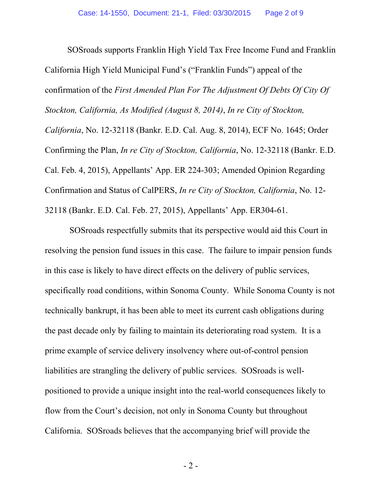SOSroads supports Franklin High Yield Tax Free Income Fund and Franklin California High Yield Municipal Fund's ("Franklin Funds") appeal of the confirmation of the *First Amended Plan For The Adjustment Of Debts Of City Of Stockton, California, As Modified (August 8, 2014)*, *In re City of Stockton, California*, No. 12-32118 (Bankr. E.D. Cal. Aug. 8, 2014), ECF No. 1645; Order Confirming the Plan, *In re City of Stockton, California*, No. 12-32118 (Bankr. E.D. Cal. Feb. 4, 2015), Appellants' App. ER 224-303; Amended Opinion Regarding Confirmation and Status of CalPERS, *In re City of Stockton, California*, No. 12- 32118 (Bankr. E.D. Cal. Feb. 27, 2015), Appellants' App. ER304-61.

 SOSroads respectfully submits that its perspective would aid this Court in resolving the pension fund issues in this case. The failure to impair pension funds in this case is likely to have direct effects on the delivery of public services, specifically road conditions, within Sonoma County. While Sonoma County is not technically bankrupt, it has been able to meet its current cash obligations during the past decade only by failing to maintain its deteriorating road system. It is a prime example of service delivery insolvency where out-of-control pension liabilities are strangling the delivery of public services. SOSroads is wellpositioned to provide a unique insight into the real-world consequences likely to flow from the Court's decision, not only in Sonoma County but throughout California. SOSroads believes that the accompanying brief will provide the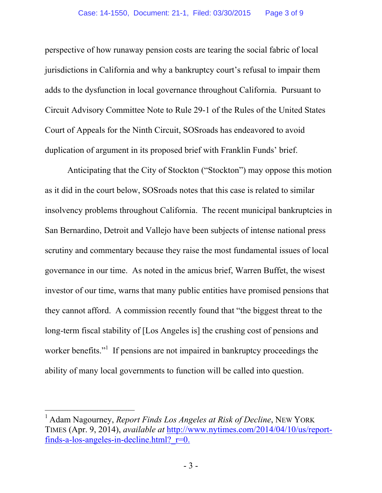perspective of how runaway pension costs are tearing the social fabric of local jurisdictions in California and why a bankruptcy court's refusal to impair them adds to the dysfunction in local governance throughout California. Pursuant to Circuit Advisory Committee Note to Rule 29-1 of the Rules of the United States Court of Appeals for the Ninth Circuit, SOSroads has endeavored to avoid duplication of argument in its proposed brief with Franklin Funds' brief.

Anticipating that the City of Stockton ("Stockton") may oppose this motion as it did in the court below, SOSroads notes that this case is related to similar insolvency problems throughout California. The recent municipal bankruptcies in San Bernardino, Detroit and Vallejo have been subjects of intense national press scrutiny and commentary because they raise the most fundamental issues of local governance in our time. As noted in the amicus brief, Warren Buffet, the wisest investor of our time, warns that many public entities have promised pensions that they cannot afford. A commission recently found that "the biggest threat to the long-term fiscal stability of [Los Angeles is] the crushing cost of pensions and worker benefits."<sup>1</sup> If pensions are not impaired in bankruptcy proceedings the ability of many local governments to function will be called into question.

-

<sup>1</sup> Adam Nagourney, *Report Finds Los Angeles at Risk of Decline*, NEW YORK TIMES (Apr. 9, 2014), *available at* http://www.nytimes.com/2014/04/10/us/reportfinds-a-los-angeles-in-decline.html? $r=0$ .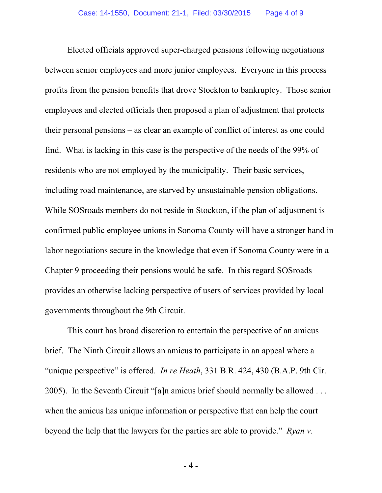Elected officials approved super-charged pensions following negotiations between senior employees and more junior employees. Everyone in this process profits from the pension benefits that drove Stockton to bankruptcy. Those senior employees and elected officials then proposed a plan of adjustment that protects their personal pensions – as clear an example of conflict of interest as one could find. What is lacking in this case is the perspective of the needs of the 99% of residents who are not employed by the municipality. Their basic services, including road maintenance, are starved by unsustainable pension obligations. While SOSroads members do not reside in Stockton, if the plan of adjustment is confirmed public employee unions in Sonoma County will have a stronger hand in labor negotiations secure in the knowledge that even if Sonoma County were in a Chapter 9 proceeding their pensions would be safe. In this regard SOSroads provides an otherwise lacking perspective of users of services provided by local governments throughout the 9th Circuit.

This court has broad discretion to entertain the perspective of an amicus brief. The Ninth Circuit allows an amicus to participate in an appeal where a "unique perspective" is offered. *In re Heath*, 331 B.R. 424, 430 (B.A.P. 9th Cir. 2005). In the Seventh Circuit "[a]n amicus brief should normally be allowed . . . when the amicus has unique information or perspective that can help the court beyond the help that the lawyers for the parties are able to provide." *Ryan v.* 

- 4 -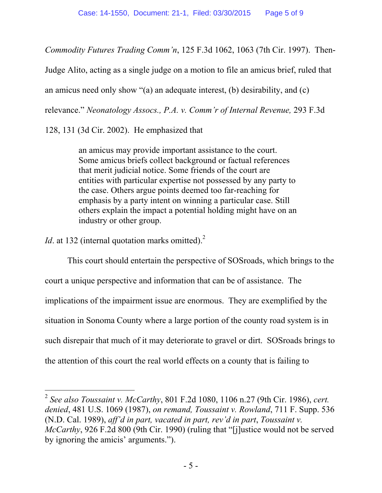*Commodity Futures Trading Comm'n*, 125 F.3d 1062, 1063 (7th Cir. 1997). Then-

Judge Alito, acting as a single judge on a motion to file an amicus brief, ruled that

an amicus need only show "(a) an adequate interest, (b) desirability, and (c)

relevance." *Neonatology Assocs., P.A. v. Comm'r of Internal Revenue,* 293 F.3d

128, 131 (3d Cir. 2002). He emphasized that

an amicus may provide important assistance to the court. Some amicus briefs collect background or factual references that merit judicial notice. Some friends of the court are entities with particular expertise not possessed by any party to the case. Others argue points deemed too far-reaching for emphasis by a party intent on winning a particular case. Still others explain the impact a potential holding might have on an industry or other group.

*Id*. at 132 (internal quotation marks omitted).<sup>2</sup>

l

This court should entertain the perspective of SOSroads, which brings to the court a unique perspective and information that can be of assistance. The implications of the impairment issue are enormous. They are exemplified by the situation in Sonoma County where a large portion of the county road system is in such disrepair that much of it may deteriorate to gravel or dirt. SOSroads brings to the attention of this court the real world effects on a county that is failing to

<sup>2</sup>  *See also Toussaint v. McCarthy*, 801 F.2d 1080, 1106 n.27 (9th Cir. 1986), *cert. denied*, 481 U.S. 1069 (1987), *on remand, Toussaint v. Rowland*, 711 F. Supp. 536 (N.D. Cal. 1989), *aff'd in part, vacated in part, rev'd in part*, *Toussaint v. McCarthy*, 926 F.2d 800 (9th Cir. 1990) (ruling that "[j]ustice would not be served by ignoring the amicis' arguments.").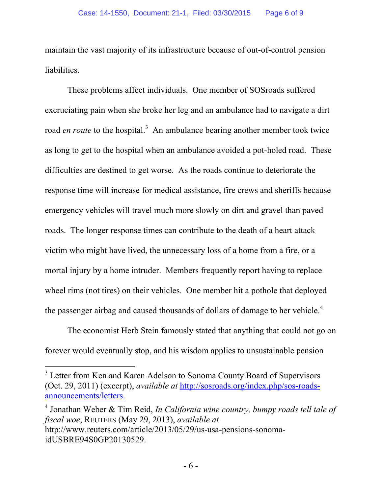maintain the vast majority of its infrastructure because of out-of-control pension liabilities.

These problems affect individuals. One member of SOSroads suffered excruciating pain when she broke her leg and an ambulance had to navigate a dirt road *en route* to the hospital.<sup>3</sup> An ambulance bearing another member took twice as long to get to the hospital when an ambulance avoided a pot-holed road. These difficulties are destined to get worse. As the roads continue to deteriorate the response time will increase for medical assistance, fire crews and sheriffs because emergency vehicles will travel much more slowly on dirt and gravel than paved roads. The longer response times can contribute to the death of a heart attack victim who might have lived, the unnecessary loss of a home from a fire, or a mortal injury by a home intruder. Members frequently report having to replace wheel rims (not tires) on their vehicles. One member hit a pothole that deployed the passenger airbag and caused thousands of dollars of damage to her vehicle.<sup>4</sup>

The economist Herb Stein famously stated that anything that could not go on forever would eventually stop, and his wisdom applies to unsustainable pension

 $\overline{a}$ 

4 Jonathan Weber & Tim Reid, *In California wine country, bumpy roads tell tale of fiscal woe*, REUTERS (May 29, 2013), *available at* http://www.reuters.com/article/2013/05/29/us-usa-pensions-sonomaidUSBRE94S0GP20130529.

<sup>&</sup>lt;sup>3</sup> Letter from Ken and Karen Adelson to Sonoma County Board of Supervisors (Oct. 29, 2011) (excerpt), *available at* http://sosroads.org/index.php/sos-roadsannouncements/letters.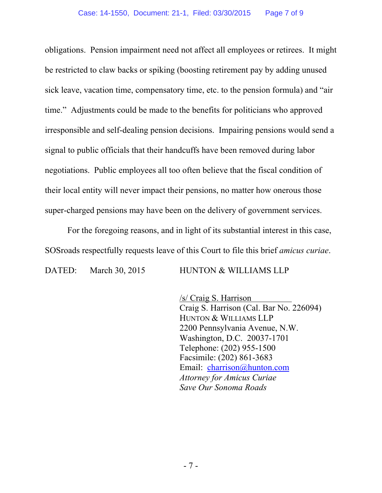obligations. Pension impairment need not affect all employees or retirees. It might be restricted to claw backs or spiking (boosting retirement pay by adding unused sick leave, vacation time, compensatory time, etc. to the pension formula) and "air time." Adjustments could be made to the benefits for politicians who approved irresponsible and self-dealing pension decisions. Impairing pensions would send a signal to public officials that their handcuffs have been removed during labor negotiations. Public employees all too often believe that the fiscal condition of their local entity will never impact their pensions, no matter how onerous those super-charged pensions may have been on the delivery of government services.

For the foregoing reasons, and in light of its substantial interest in this case, SOSroads respectfully requests leave of this Court to file this brief *amicus curiae*.

DATED: March 30, 2015 HUNTON & WILLIAMS LLP

/s/ Craig S. Harrison Craig S. Harrison (Cal. Bar No. 226094) HUNTON & WILLIAMS LLP 2200 Pennsylvania Avenue, N.W. Washington, D.C. 20037-1701 Telephone: (202) 955-1500 Facsimile: (202) 861-3683 Email: charrison@hunton.com *Attorney for Amicus Curiae Save Our Sonoma Roads*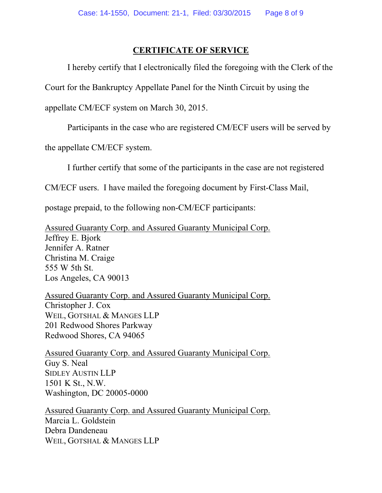## **CERTIFICATE OF SERVICE**

I hereby certify that I electronically filed the foregoing with the Clerk of the

Court for the Bankruptcy Appellate Panel for the Ninth Circuit by using the

appellate CM/ECF system on March 30, 2015.

Participants in the case who are registered CM/ECF users will be served by

the appellate CM/ECF system.

I further certify that some of the participants in the case are not registered

CM/ECF users. I have mailed the foregoing document by First-Class Mail,

postage prepaid, to the following non-CM/ECF participants:

Assured Guaranty Corp. and Assured Guaranty Municipal Corp. Jeffrey E. Bjork Jennifer A. Ratner Christina M. Craige 555 W 5th St. Los Angeles, CA 90013

Assured Guaranty Corp. and Assured Guaranty Municipal Corp. Christopher J. Cox WEIL, GOTSHAL & MANGES LLP 201 Redwood Shores Parkway Redwood Shores, CA 94065

Assured Guaranty Corp. and Assured Guaranty Municipal Corp. Guy S. Neal SIDLEY AUSTIN LLP 1501 K St., N.W. Washington, DC 20005-0000

Assured Guaranty Corp. and Assured Guaranty Municipal Corp. Marcia L. Goldstein Debra Dandeneau WEIL, GOTSHAL & MANGES LLP